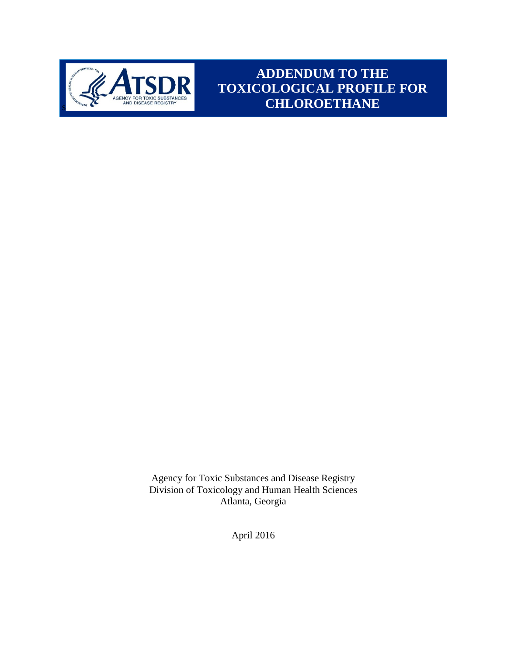

**ADDENDUM TO THE TOXICOLOGICAL PROFILE FOR CHLOROETHANE**

Agency for Toxic Substances and Disease Registry Division of Toxicology and Human Health Sciences Atlanta, Georgia

April 2016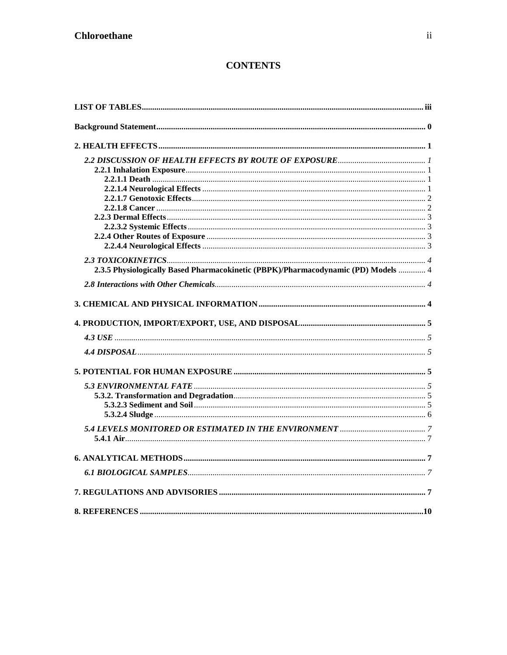# **CONTENTS**

| 2.3.5 Physiologically Based Pharmacokinetic (PBPK)/Pharmacodynamic (PD) Models  4 |  |
|-----------------------------------------------------------------------------------|--|
|                                                                                   |  |
|                                                                                   |  |
|                                                                                   |  |
|                                                                                   |  |
|                                                                                   |  |
|                                                                                   |  |
|                                                                                   |  |
|                                                                                   |  |
|                                                                                   |  |
|                                                                                   |  |
|                                                                                   |  |
|                                                                                   |  |
|                                                                                   |  |
|                                                                                   |  |
|                                                                                   |  |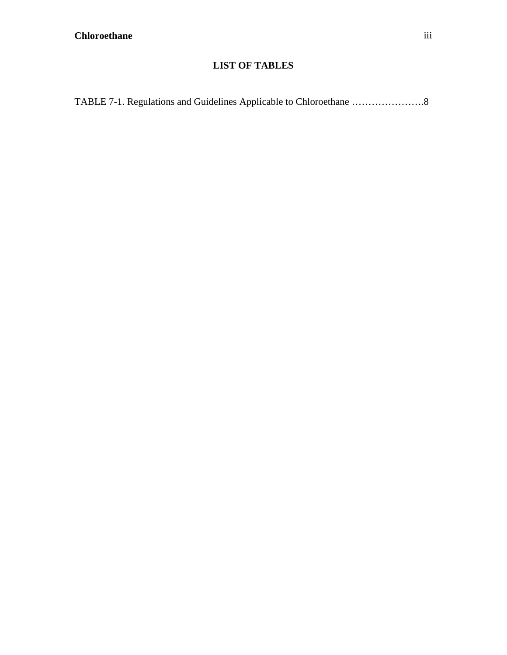# **LIST OF TABLES**

<span id="page-2-0"></span>

|--|--|--|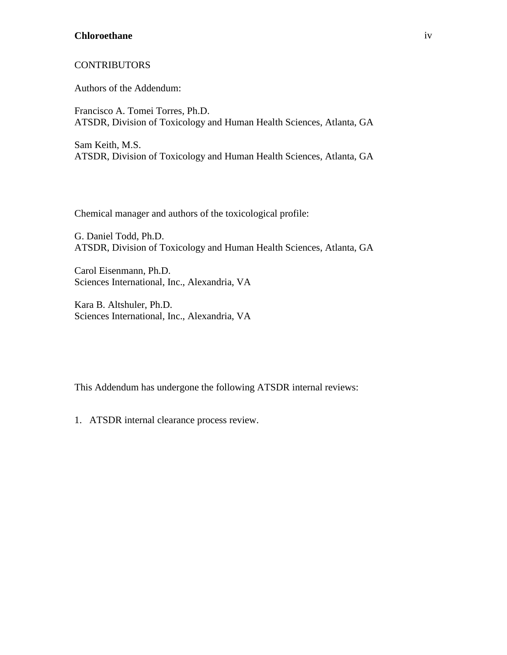#### **Chloroethane** iv

#### **CONTRIBUTORS**

Authors of the Addendum:

Francisco A. Tomei Torres, Ph.D. ATSDR, Division of Toxicology and Human Health Sciences, Atlanta, GA

Sam Keith, M.S. ATSDR, Division of Toxicology and Human Health Sciences, Atlanta, GA

Chemical manager and authors of the toxicological profile:

G. Daniel Todd, Ph.D. ATSDR, Division of Toxicology and Human Health Sciences, Atlanta, GA

Carol Eisenmann, Ph.D. Sciences International, Inc., Alexandria, VA

Kara B. Altshuler, Ph.D. Sciences International, Inc., Alexandria, VA

This Addendum has undergone the following ATSDR internal reviews:

1. ATSDR internal clearance process review.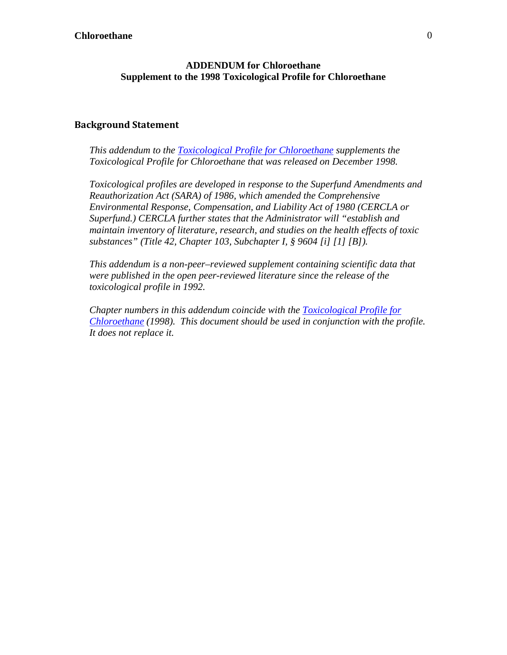#### **ADDENDUM for Chloroethane Supplement to the 1998 Toxicological Profile for Chloroethane**

#### <span id="page-4-0"></span>**Background Statement**

*This addendum to the [Toxicological Profile for Chloroethane](https://goo.gl/8jJPYS) supplements the Toxicological Profile for Chloroethane that was released on December 1998.* 

*Toxicological profiles are developed in response to the Superfund Amendments and Reauthorization Act (SARA) of 1986, which amended the Comprehensive Environmental Response, Compensation, and Liability Act of 1980 (CERCLA or Superfund.) CERCLA further states that the Administrator will "establish and maintain inventory of literature, research, and studies on the health effects of toxic substances" (Title 42, Chapter 103, Subchapter I, § 9604 [i] [1] [B]).* 

*This addendum is a non-peer–reviewed supplement containing scientific data that were published in the open peer-reviewed literature since the release of the toxicological profile in 1992.* 

*Chapter numbers in this addendum coincide with the [Toxicological Profile for](https://goo.gl/8jJPYS)  [Chloroethane](https://goo.gl/8jJPYS) (1998). This document should be used in conjunction with the profile. It does not replace it.*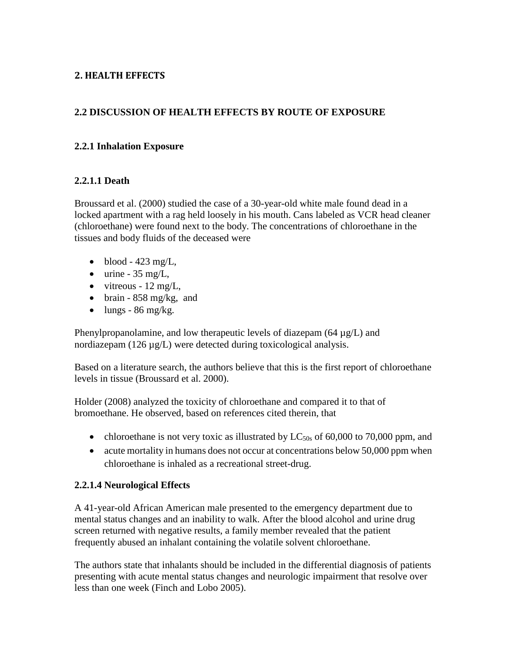## <span id="page-5-0"></span>**2. HEALTH EFFECTS**

## <span id="page-5-1"></span>**2.2 DISCUSSION OF HEALTH EFFECTS BY ROUTE OF EXPOSURE**

#### <span id="page-5-2"></span>**2.2.1 Inhalation Exposure**

#### <span id="page-5-3"></span>**2.2.1.1 Death**

Broussard et al. (2000) studied the case of a 30-year-old white male found dead in a locked apartment with a rag held loosely in his mouth. Cans labeled as VCR head cleaner (chloroethane) were found next to the body. The concentrations of chloroethane in the tissues and body fluids of the deceased were

- blood  $-423$  mg/L,
- $\bullet$  urine 35 mg/L,
- $\bullet$  vitreous 12 mg/L,
- brain  $-858$  mg/kg, and
- $\bullet$  lungs 86 mg/kg.

Phenylpropanolamine, and low therapeutic levels of diazepam  $(64 \mu g/L)$  and nordiazepam (126 µg/L) were detected during toxicological analysis.

Based on a literature search, the authors believe that this is the first report of chloroethane levels in tissue (Broussard et al. 2000).

Holder (2008) analyzed the toxicity of chloroethane and compared it to that of bromoethane. He observed, based on references cited therein, that

- chloroethane is not very toxic as illustrated by  $LC_{50s}$  of 60,000 to 70,000 ppm, and
- acute mortality in humans does not occur at concentrations below 50,000 ppm when chloroethane is inhaled as a recreational street-drug.

## <span id="page-5-4"></span>**2.2.1.4 Neurological Effects**

A 41-year-old African American male presented to the emergency department due to mental status changes and an inability to walk. After the blood alcohol and urine drug screen returned with negative results, a family member revealed that the patient frequently abused an inhalant containing the volatile solvent chloroethane.

The authors state that inhalants should be included in the differential diagnosis of patients presenting with acute mental status changes and neurologic impairment that resolve over less than one week (Finch and Lobo 2005).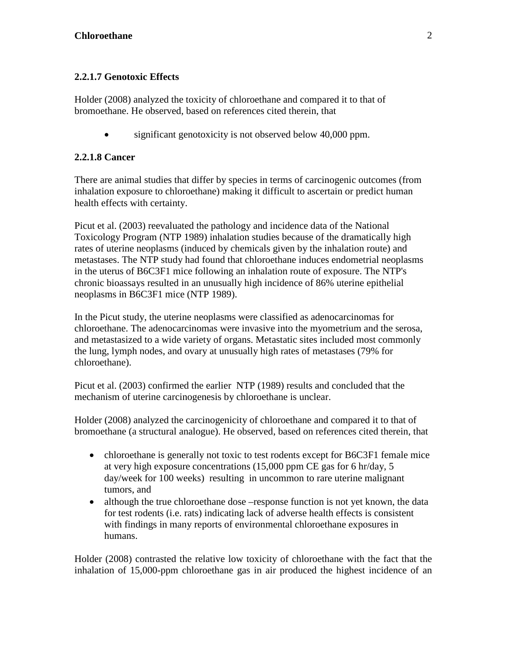# <span id="page-6-0"></span>**2.2.1.7 Genotoxic Effects**

Holder (2008) analyzed the toxicity of chloroethane and compared it to that of bromoethane. He observed, based on references cited therein, that

• significant genotoxicity is not observed below 40,000 ppm.

## <span id="page-6-1"></span>**2.2.1.8 Cancer**

There are animal studies that differ by species in terms of carcinogenic outcomes (from inhalation exposure to chloroethane) making it difficult to ascertain or predict human health effects with certainty.

Picut et al. (2003) reevaluated the pathology and incidence data of the National Toxicology Program (NTP 1989) inhalation studies because of the dramatically high rates of uterine neoplasms (induced by chemicals given by the inhalation route) and metastases. The NTP study had found that chloroethane induces endometrial neoplasms in the uterus of B6C3F1 mice following an inhalation route of exposure. The NTP's chronic bioassays resulted in an unusually high incidence of 86% uterine epithelial neoplasms in B6C3F1 mice (NTP 1989).

In the Picut study, the uterine neoplasms were classified as adenocarcinomas for chloroethane. The adenocarcinomas were invasive into the myometrium and the serosa, and metastasized to a wide variety of organs. Metastatic sites included most commonly the lung, lymph nodes, and ovary at unusually high rates of metastases (79% for chloroethane).

Picut et al. (2003) confirmed the earlier NTP (1989) results and concluded that the mechanism of uterine carcinogenesis by chloroethane is unclear.

Holder (2008) analyzed the carcinogenicity of chloroethane and compared it to that of bromoethane (a structural analogue). He observed, based on references cited therein, that

- chloroethane is generally not toxic to test rodents except for B6C3F1 female mice at very high exposure concentrations (15,000 ppm CE gas for 6 hr/day, 5 day/week for 100 weeks) resulting in uncommon to rare uterine malignant tumors, and
- although the true chloroethane dose –response function is not yet known, the data for test rodents (i.e. rats) indicating lack of adverse health effects is consistent with findings in many reports of environmental chloroethane exposures in humans.

Holder (2008) contrasted the relative low toxicity of chloroethane with the fact that the inhalation of 15,000-ppm chloroethane gas in air produced the highest incidence of an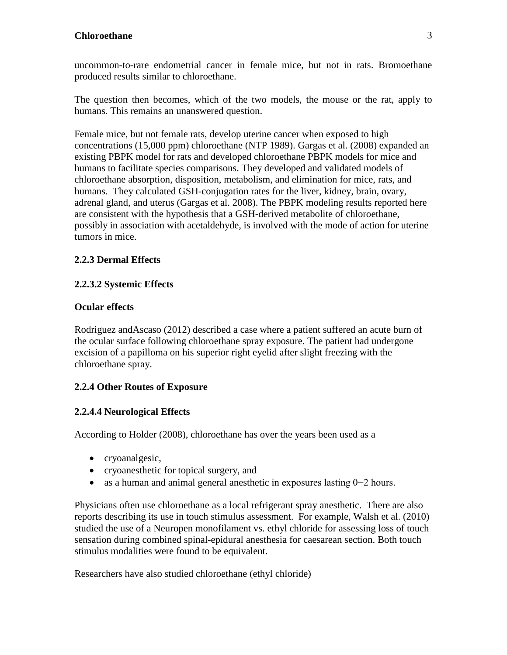uncommon-to-rare endometrial cancer in female mice, but not in rats. Bromoethane produced results similar to chloroethane.

The question then becomes, which of the two models, the mouse or the rat, apply to humans. This remains an unanswered question.

Female mice, but not female rats, develop uterine cancer when exposed to high concentrations (15,000 ppm) chloroethane (NTP 1989). Gargas et al. (2008) expanded an existing PBPK model for rats and developed chloroethane PBPK models for mice and humans to facilitate species comparisons. They developed and validated models of chloroethane absorption, disposition, metabolism, and elimination for mice, rats, and humans. They calculated GSH-conjugation rates for the liver, kidney, brain, ovary, adrenal gland, and uterus (Gargas et al. 2008). The PBPK modeling results reported here are consistent with the hypothesis that a GSH-derived metabolite of chloroethane, possibly in association with acetaldehyde, is involved with the mode of action for uterine tumors in mice.

## <span id="page-7-0"></span>**2.2.3 Dermal Effects**

## <span id="page-7-1"></span>**2.2.3.2 Systemic Effects**

## **Ocular effects**

Rodriguez andAscaso (2012) described a case where a patient suffered an acute burn of the ocular surface following chloroethane spray exposure. The patient had undergone excision of a papilloma on his superior right eyelid after slight freezing with the chloroethane spray.

# <span id="page-7-2"></span>**2.2.4 Other Routes of Exposure**

## <span id="page-7-3"></span>**2.2.4.4 Neurological Effects**

According to Holder (2008), chloroethane has over the years been used as a

- cryoanalgesic,
- cryoanes the tich for topical surgery, and
- as a human and animal general anesthetic in exposures lasting 0−2 hours.

Physicians often use chloroethane as a local refrigerant spray anesthetic. There are also reports describing its use in touch stimulus assessment. For example, Walsh et al. (2010) studied the use of a Neuropen monofilament vs. ethyl chloride for assessing loss of touch sensation during combined spinal-epidural anesthesia for caesarean section. Both touch stimulus modalities were found to be equivalent.

Researchers have also studied chloroethane (ethyl chloride)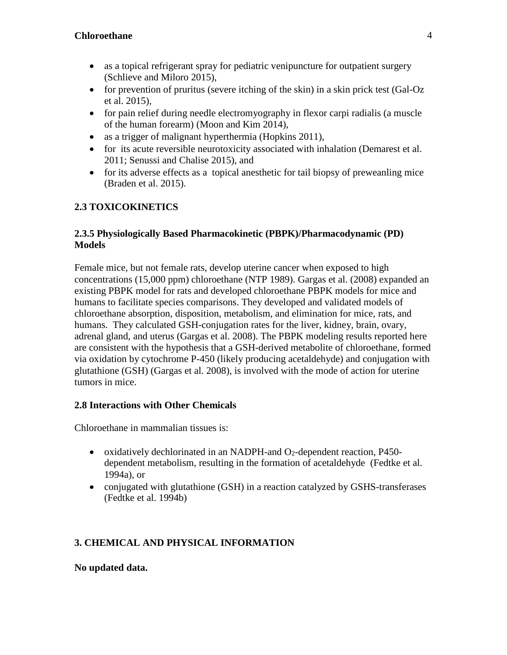- as a topical refrigerant spray for pediatric venipuncture for outpatient surgery (Schlieve and Miloro 2015),
- for prevention of pruritus (severe itching of the skin) in a skin prick test (Gal-Oz et al. 2015),
- for pain relief during needle electromy ography in flexor carpi radialis (a muscle of the human forearm) (Moon and Kim 2014),
- as a trigger of malignant hyperthermia (Hopkins 2011),
- for its acute reversible neurotoxicity associated with inhalation (Demarest et al. 2011; Senussi and Chalise 2015), and
- for its adverse effects as a topical anesthetic for tail biopsy of preweanling mice (Braden et al. 2015).

# <span id="page-8-0"></span>**2.3 TOXICOKINETICS**

## <span id="page-8-1"></span>**2.3.5 Physiologically Based Pharmacokinetic (PBPK)/Pharmacodynamic (PD) Models**

Female mice, but not female rats, develop uterine cancer when exposed to high concentrations (15,000 ppm) chloroethane (NTP 1989). Gargas et al. (2008) expanded an existing PBPK model for rats and developed chloroethane PBPK models for mice and humans to facilitate species comparisons. They developed and validated models of chloroethane absorption, disposition, metabolism, and elimination for mice, rats, and humans. They calculated GSH-conjugation rates for the liver, kidney, brain, ovary, adrenal gland, and uterus (Gargas et al. 2008). The PBPK modeling results reported here are consistent with the hypothesis that a GSH-derived metabolite of chloroethane, formed via oxidation by cytochrome P-450 (likely producing acetaldehyde) and conjugation with glutathione (GSH) (Gargas et al. 2008), is involved with the mode of action for uterine tumors in mice.

## <span id="page-8-2"></span>**2.8 Interactions with Other Chemicals**

Chloroethane in mammalian tissues is:

- oxidatively dechlorinated in an NADPH-and O<sub>2</sub>-dependent reaction, P450dependent metabolism, resulting in the formation of acetaldehyde (Fedtke et al. 1994a), or
- conjugated with glutathione (GSH) in a reaction catalyzed by GSHS-transferases (Fedtke et al. 1994b)

# <span id="page-8-3"></span>**3. CHEMICAL AND PHYSICAL INFORMATION**

**No updated data.**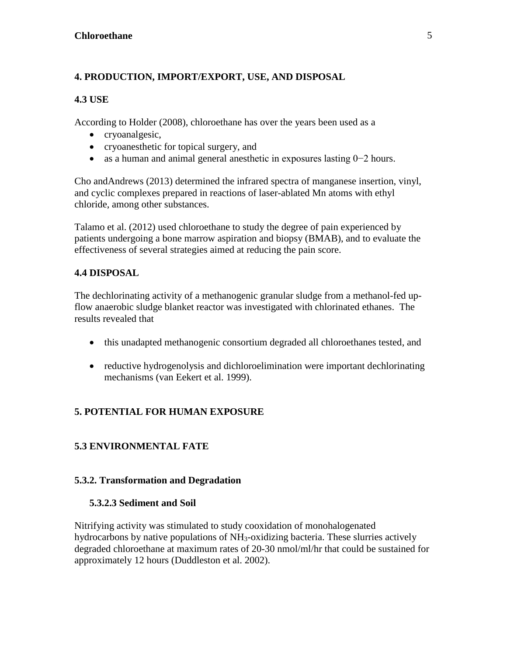# <span id="page-9-0"></span>**4. PRODUCTION, IMPORT/EXPORT, USE, AND DISPOSAL**

#### <span id="page-9-1"></span>**4.3 USE**

According to Holder (2008), chloroethane has over the years been used as a

- cryoanalgesic,
- cryoanesthetic for topical surgery, and
- as a human and animal general anesthetic in exposures lasting 0−2 hours.

Cho andAndrews (2013) determined the infrared spectra of manganese insertion, vinyl, and cyclic complexes prepared in reactions of laser-ablated Mn atoms with ethyl chloride, among other substances.

Talamo et al. (2012) used chloroethane to study the degree of pain experienced by patients undergoing a bone marrow aspiration and biopsy (BMAB), and to evaluate the effectiveness of several strategies aimed at reducing the pain score.

## <span id="page-9-2"></span>**4.4 DISPOSAL**

The dechlorinating activity of a methanogenic granular sludge from a methanol-fed upflow anaerobic sludge blanket reactor was investigated with chlorinated ethanes. The results revealed that

- this unadapted methanogenic consortium degraded all chloroethanes tested, and
- reductive hydrogenolysis and dichloroelimination were important dechlorinating mechanisms (van Eekert et al. 1999).

# <span id="page-9-3"></span>**5. POTENTIAL FOR HUMAN EXPOSURE**

# <span id="page-9-4"></span>**5.3 ENVIRONMENTAL FATE**

#### <span id="page-9-5"></span>**5.3.2. Transformation and Degradation**

#### <span id="page-9-6"></span>**5.3.2.3 Sediment and Soil**

Nitrifying activity was stimulated to study cooxidation of monohalogenated hydrocarbons by native populations of NH<sub>3</sub>-oxidizing bacteria. These slurries actively degraded chloroethane at maximum rates of 20-30 nmol/ml/hr that could be sustained for approximately 12 hours (Duddleston et al. 2002).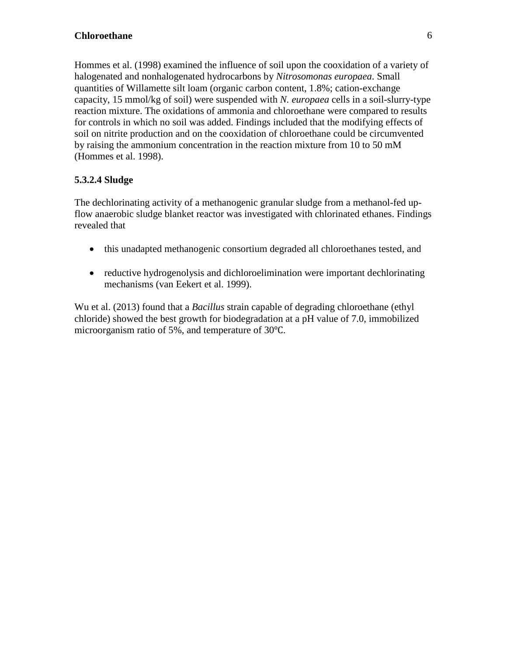Hommes et al. (1998) examined the influence of soil upon the cooxidation of a variety of halogenated and nonhalogenated hydrocarbons by *Nitrosomonas europaea*. Small quantities of Willamette silt loam (organic carbon content, 1.8%; cation-exchange capacity, 15 mmol/kg of soil) were suspended with *N. europaea* cells in a soil-slurry-type reaction mixture. The oxidations of ammonia and chloroethane were compared to results for controls in which no soil was added. Findings included that the modifying effects of soil on nitrite production and on the cooxidation of chloroethane could be circumvented by raising the ammonium concentration in the reaction mixture from 10 to 50 mM (Hommes et al. 1998).

## <span id="page-10-0"></span>**5.3.2.4 Sludge**

The dechlorinating activity of a methanogenic granular sludge from a methanol-fed upflow anaerobic sludge blanket reactor was investigated with chlorinated ethanes. Findings revealed that

- this unadapted methanogenic consortium degraded all chloroethanes tested, and
- reductive hydrogenolysis and dichloroelimination were important dechlorinating mechanisms (van Eekert et al. 1999).

Wu et al. (2013) found that a *Bacillus* strain capable of degrading chloroethane (ethyl chloride) showed the best growth for biodegradation at a pH value of 7.0, immobilized microorganism ratio of 5%, and temperature of 30℃.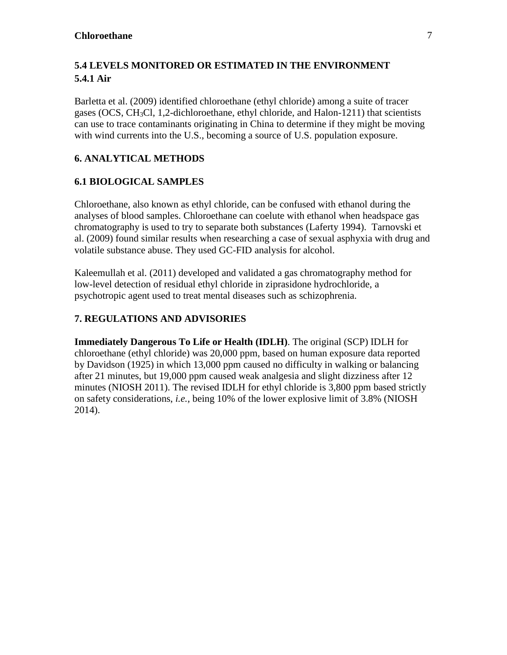# <span id="page-11-1"></span><span id="page-11-0"></span>**5.4 LEVELS MONITORED OR ESTIMATED IN THE ENVIRONMENT 5.4.1 Air**

Barletta et al. (2009) identified chloroethane (ethyl chloride) among a suite of tracer gases (OCS, CH3Cl, 1,2-dichloroethane, ethyl chloride, and Halon-1211) that scientists can use to trace contaminants originating in China to determine if they might be moving with wind currents into the U.S., becoming a source of U.S. population exposure.

## <span id="page-11-2"></span>**6. ANALYTICAL METHODS**

## <span id="page-11-3"></span>**6.1 BIOLOGICAL SAMPLES**

Chloroethane, also known as ethyl chloride, can be confused with ethanol during the analyses of blood samples. Chloroethane can coelute with ethanol when headspace gas chromatography is used to try to separate both substances (Laferty 1994). Tarnovski et al. (2009) found similar results when researching a case of sexual asphyxia with drug and volatile substance abuse. They used GC-FID analysis for alcohol.

Kaleemullah et al. (2011) developed and validated a gas chromatography method for low-level detection of residual ethyl chloride in ziprasidone hydrochloride, a psychotropic agent used to treat mental diseases such as schizophrenia.

## <span id="page-11-4"></span>**7. REGULATIONS AND ADVISORIES**

**Immediately Dangerous To Life or Health (IDLH)**. The original (SCP) IDLH for chloroethane (ethyl chloride) was 20,000 ppm, based on human exposure data reported by Davidson (1925) in which 13,000 ppm caused no difficulty in walking or balancing after 21 minutes, but 19,000 ppm caused weak analgesia and slight dizziness after 12 minutes (NIOSH 2011). The revised IDLH for ethyl chloride is 3,800 ppm based strictly on safety considerations, *i.e.,* being 10% of the lower explosive limit of 3.8% (NIOSH 2014).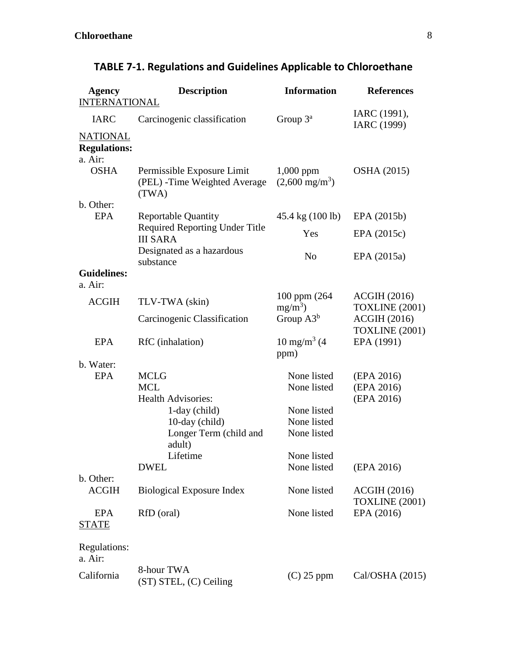| <b>Agency</b><br><b>INTERNATIONAL</b>                                             | <b>Description</b>                                                   | <b>Information</b>                      | <b>References</b>                            |
|-----------------------------------------------------------------------------------|----------------------------------------------------------------------|-----------------------------------------|----------------------------------------------|
| <b>IARC</b>                                                                       | Carcinogenic classification                                          | Group $3^a$                             | IARC (1991),<br>IARC (1999)                  |
| <b>NATIONAL</b><br><b>Regulations:</b><br>a. Air:                                 |                                                                      |                                         |                                              |
| <b>OSHA</b>                                                                       | Permissible Exposure Limit<br>(PEL) - Time Weighted Average<br>(TWA) | $1,000$ ppm<br>$(2,600 \text{ mg/m}^3)$ | <b>OSHA</b> (2015)                           |
| b. Other:                                                                         |                                                                      |                                         |                                              |
| <b>EPA</b>                                                                        | <b>Reportable Quantity</b><br>Required Reporting Under Title         | 45.4 kg (100 lb)                        | EPA (2015b)                                  |
|                                                                                   | <b>III SARA</b>                                                      | Yes                                     | EPA (2015c)                                  |
|                                                                                   | Designated as a hazardous<br>substance                               | N <sub>o</sub>                          | EPA (2015a)                                  |
| <b>Guidelines:</b>                                                                |                                                                      |                                         |                                              |
| a. Air:<br><b>ACGIH</b>                                                           | TLV-TWA (skin)                                                       | 100 ppm (264)<br>$mg/m^3$ )             | <b>ACGIH (2016)</b><br><b>TOXLINE</b> (2001) |
|                                                                                   | Carcinogenic Classification                                          | Group $A3^b$                            | <b>ACGIH (2016)</b>                          |
| <b>EPA</b>                                                                        | RfC (inhalation)                                                     | $10 \text{ mg/m}^3$ (4<br>ppm)          | <b>TOXLINE (2001)</b><br>EPA (1991)          |
| b. Water:<br><b>EPA</b><br><b>MCLG</b><br><b>MCL</b><br><b>Health Advisories:</b> |                                                                      | None listed<br>None listed              | (EPA 2016)<br>(EPA 2016)<br>(EPA 2016)       |
|                                                                                   | 1-day (child)<br>10-day (child)                                      | None listed<br>None listed              |                                              |
|                                                                                   | Longer Term (child and<br>adult)                                     | None listed                             |                                              |
|                                                                                   | Lifetime                                                             | None listed                             |                                              |
|                                                                                   | <b>DWEL</b>                                                          | None listed                             | (EPA 2016)                                   |
| b. Other:<br><b>ACGIH</b>                                                         | <b>Biological Exposure Index</b>                                     | None listed                             | <b>ACGIH (2016)</b><br><b>TOXLINE</b> (2001) |
| <b>EPA</b><br><b>STATE</b>                                                        | RfD (oral)                                                           | None listed                             | EPA (2016)                                   |
| Regulations:<br>a. Air:                                                           |                                                                      |                                         |                                              |
| California                                                                        | 8-hour TWA<br>(ST) STEL, (C) Ceiling                                 | $(C)$ 25 ppm                            | Cal/OSHA(2015)                               |

# **TABLE 7-1. Regulations and Guidelines Applicable to Chloroethane**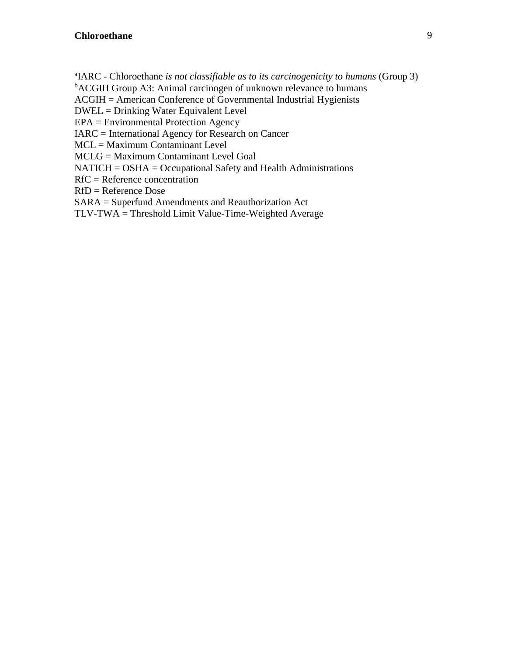a IARC - Chloroethane *is not classifiable as to its carcinogenicity to humans* (Group 3)

<sup>b</sup>ACGIH Group A3: Animal carcinogen of unknown relevance to humans

ACGIH = American Conference of Governmental Industrial Hygienists

DWEL = Drinking Water Equivalent Level

EPA = Environmental Protection Agency

IARC = International Agency for Research on Cancer

MCL = Maximum Contaminant Level

MCLG = Maximum Contaminant Level Goal

NATICH = OSHA = Occupational Safety and Health Administrations

RfC = Reference concentration

RfD = Reference Dose

SARA = Superfund Amendments and Reauthorization Act

TLV-TWA = Threshold Limit Value-Time-Weighted Average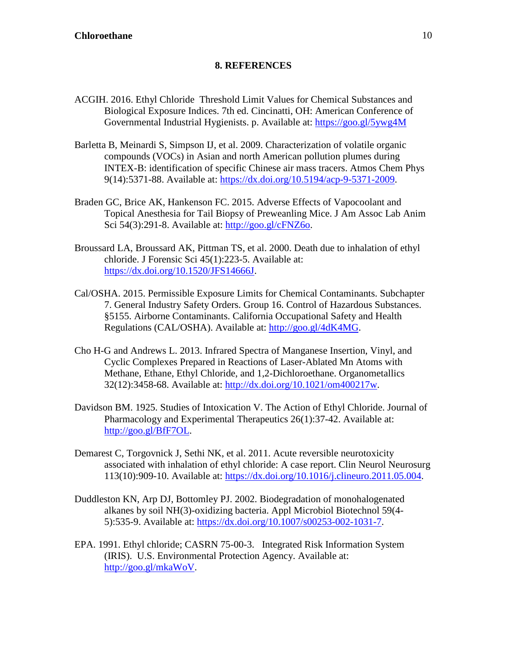#### **8. REFERENCES**

- <span id="page-14-0"></span>ACGIH. 2016. Ethyl Chloride Threshold Limit Values for Chemical Substances and Biological Exposure Indices. 7th ed. Cincinatti, OH: American Conference of Governmental Industrial Hygienists. p. Available at:<https://goo.gl/5ywg4M>
- Barletta B, Meinardi S, Simpson IJ, et al. 2009. Characterization of volatile organic compounds (VOCs) in Asian and north American pollution plumes during INTEX-B: identification of specific Chinese air mass tracers. Atmos Chem Phys 9(14):5371-88. Available at: [https://dx.doi.org/10.5194/acp-9-5371-2009.](https://dx.doi.org/10.5194/acp-9-5371-2009)
- Braden GC, Brice AK, Hankenson FC. 2015. Adverse Effects of Vapocoolant and Topical Anesthesia for Tail Biopsy of Preweanling Mice. J Am Assoc Lab Anim Sci 54(3):291-8. Available at: [http://goo.gl/cFNZ6o.](http://goo.gl/cFNZ6o)
- Broussard LA, Broussard AK, Pittman TS, et al. 2000. Death due to inhalation of ethyl chloride. J Forensic Sci 45(1):223-5. Available at: [https://dx.doi.org/10.1520/JFS14666J.](https://dx.doi.org/10.1520/JFS14666J)
- Cal/OSHA. 2015. Permissible Exposure Limits for Chemical Contaminants. Subchapter 7. General Industry Safety Orders. Group 16. Control of Hazardous Substances. §5155. Airborne Contaminants. California Occupational Safety and Health Regulations (CAL/OSHA). Available at: [http://goo.gl/4dK4MG.](http://goo.gl/4dK4MG)
- Cho H-G and Andrews L. 2013. Infrared Spectra of Manganese Insertion, Vinyl, and Cyclic Complexes Prepared in Reactions of Laser-Ablated Mn Atoms with Methane, Ethane, Ethyl Chloride, and 1,2-Dichloroethane. Organometallics 32(12):3458-68. Available at: [http://dx.doi.org/10.1021/om400217w.](http://dx.doi.org/10.1021/om400217w)
- Davidson BM. 1925. Studies of Intoxication V. The Action of Ethyl Chloride. Journal of Pharmacology and Experimental Therapeutics 26(1):37-42. Available at: [http://goo.gl/BfF7OL.](http://goo.gl/BfF7OL)
- Demarest C, Torgovnick J, Sethi NK, et al. 2011. Acute reversible neurotoxicity associated with inhalation of ethyl chloride: A case report. Clin Neurol Neurosurg 113(10):909-10. Available at: [https://dx.doi.org/10.1016/j.clineuro.2011.05.004.](https://dx.doi.org/10.1016/j.clineuro.2011.05.004)
- Duddleston KN, Arp DJ, Bottomley PJ. 2002. Biodegradation of monohalogenated alkanes by soil NH(3)-oxidizing bacteria. Appl Microbiol Biotechnol 59(4- 5):535-9. Available at: [https://dx.doi.org/10.1007/s00253-002-1031-7.](https://dx.doi.org/10.1007/s00253-002-1031-7)
- EPA. 1991. Ethyl chloride; CASRN 75-00-3. Integrated Risk Information System (IRIS). U.S. Environmental Protection Agency. Available at: [http://goo.gl/mkaWoV.](http://goo.gl/mkaWoV)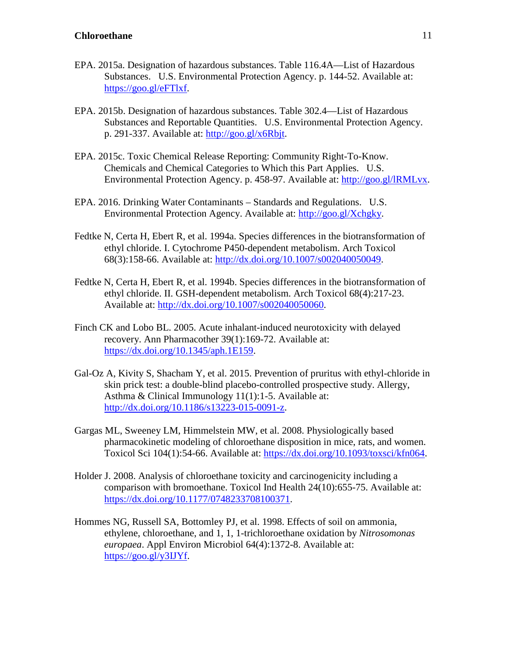- EPA. 2015a. Designation of hazardous substances. Table 116.4A—List of Hazardous Substances. U.S. Environmental Protection Agency. p. 144-52. Available at: [https://goo.gl/eFTlxf.](https://goo.gl/eFTlxf)
- EPA. 2015b. Designation of hazardous substances. Table 302.4—List of Hazardous Substances and Reportable Quantities. U.S. Environmental Protection Agency. p. 291-337. Available at: [http://goo.gl/x6Rbjt.](http://goo.gl/x6Rbjt)
- EPA. 2015c. Toxic Chemical Release Reporting: Community Right-To-Know. Chemicals and Chemical Categories to Which this Part Applies. U.S. Environmental Protection Agency. p. 458-97. Available at: [http://goo.gl/lRMLvx.](http://goo.gl/lRMLvx)
- EPA. 2016. Drinking Water Contaminants Standards and Regulations. U.S. Environmental Protection Agency. Available at: [http://goo.gl/Xchgky.](http://goo.gl/Xchgky)
- Fedtke N, Certa H, Ebert R, et al. 1994a. Species differences in the biotransformation of ethyl chloride. I. Cytochrome P450-dependent metabolism. Arch Toxicol 68(3):158-66. Available at: [http://dx.doi.org/10.1007/s002040050049.](http://dx.doi.org/10.1007/s002040050049)
- Fedtke N, Certa H, Ebert R, et al. 1994b. Species differences in the biotransformation of ethyl chloride. II. GSH-dependent metabolism. Arch Toxicol 68(4):217-23. Available at: [http://dx.doi.org/10.1007/s002040050060.](http://dx.doi.org/10.1007/s002040050060)
- Finch CK and Lobo BL. 2005. Acute inhalant-induced neurotoxicity with delayed recovery. Ann Pharmacother 39(1):169-72. Available at: [https://dx.doi.org/10.1345/aph.1E159.](https://dx.doi.org/10.1345/aph.1E159)
- Gal-Oz A, Kivity S, Shacham Y, et al. 2015. Prevention of pruritus with ethyl-chloride in skin prick test: a double-blind placebo-controlled prospective study. Allergy, Asthma & Clinical Immunology 11(1):1-5. Available at: [http://dx.doi.org/10.1186/s13223-015-0091-z.](http://dx.doi.org/10.1186/s13223-015-0091-z)
- Gargas ML, Sweeney LM, Himmelstein MW, et al. 2008. Physiologically based pharmacokinetic modeling of chloroethane disposition in mice, rats, and women. Toxicol Sci 104(1):54-66. Available at: [https://dx.doi.org/10.1093/toxsci/kfn064.](https://dx.doi.org/10.1093/toxsci/kfn064)
- Holder J. 2008. Analysis of chloroethane toxicity and carcinogenicity including a comparison with bromoethane. Toxicol Ind Health 24(10):655-75. Available at: [https://dx.doi.org/10.1177/0748233708100371.](https://dx.doi.org/10.1177/0748233708100371)
- Hommes NG, Russell SA, Bottomley PJ, et al. 1998. Effects of soil on ammonia, ethylene, chloroethane, and 1, 1, 1-trichloroethane oxidation by *Nitrosomonas europaea*. Appl Environ Microbiol 64(4):1372-8. Available at: [https://goo.gl/y3IJYf.](https://goo.gl/y3IJYf)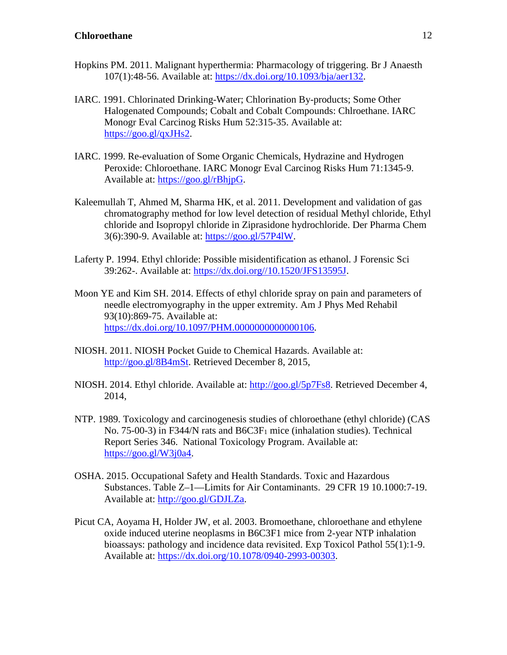- Hopkins PM. 2011. Malignant hyperthermia: Pharmacology of triggering. Br J Anaesth 107(1):48-56. Available at: [https://dx.doi.org/10.1093/bja/aer132.](https://dx.doi.org/10.1093/bja/aer132)
- IARC. 1991. Chlorinated Drinking-Water; Chlorination By-products; Some Other Halogenated Compounds; Cobalt and Cobalt Compounds: Chlroethane. IARC Monogr Eval Carcinog Risks Hum 52:315-35. Available at: [https://goo.gl/qxJHs2.](https://goo.gl/qxJHs2)
- IARC. 1999. Re-evaluation of Some Organic Chemicals, Hydrazine and Hydrogen Peroxide: Chloroethane. IARC Monogr Eval Carcinog Risks Hum 71:1345-9. Available at: [https://goo.gl/rBhjpG.](https://goo.gl/rBhjpG)
- Kaleemullah T, Ahmed M, Sharma HK, et al. 2011. Development and validation of gas chromatography method for low level detection of residual Methyl chloride, Ethyl chloride and Isopropyl chloride in Ziprasidone hydrochloride. Der Pharma Chem 3(6):390-9. Available at: [https://goo.gl/57P4lW.](https://goo.gl/57P4lW)
- Laferty P. 1994. Ethyl chloride: Possible misidentification as ethanol. J Forensic Sci 39:262-. Available at: [https://dx.doi.org//10.1520/JFS13595J.](https://dx.doi.org/10.1520/JFS13595J)
- Moon YE and Kim SH. 2014. Effects of ethyl chloride spray on pain and parameters of needle electromyography in the upper extremity. Am J Phys Med Rehabil 93(10):869-75. Available at: [https://dx.doi.org/10.1097/PHM.0000000000000106.](https://dx.doi.org/10.1097/PHM.0000000000000106)
- NIOSH. 2011. NIOSH Pocket Guide to Chemical Hazards. Available at: [http://goo.gl/8B4mSt.](http://goo.gl/8B4mSt) Retrieved December 8, 2015,
- NIOSH. 2014. Ethyl chloride. Available at: [http://goo.gl/5p7Fs8.](http://goo.gl/5p7Fs8) Retrieved December 4, 2014,
- NTP. 1989. Toxicology and carcinogenesis studies of chloroethane (ethyl chloride) (CAS No. 75-00-3) in F344/N rats and  $B6C3F<sub>1</sub>$  mice (inhalation studies). Technical Report Series 346. National Toxicology Program. Available at: [https://goo.gl/W3j0a4.](https://goo.gl/W3j0a4)
- OSHA. 2015. Occupational Safety and Health Standards. Toxic and Hazardous Substances. Table Z–1—Limits for Air Contaminants. 29 CFR 19 10.1000:7-19. Available at: [http://goo.gl/GDJLZa.](http://goo.gl/GDJLZa)
- Picut CA, Aoyama H, Holder JW, et al. 2003. Bromoethane, chloroethane and ethylene oxide induced uterine neoplasms in B6C3F1 mice from 2-year NTP inhalation bioassays: pathology and incidence data revisited. Exp Toxicol Pathol 55(1):1-9. Available at: [https://dx.doi.org/10.1078/0940-2993-00303.](https://dx.doi.org/10.1078/0940-2993-00303)